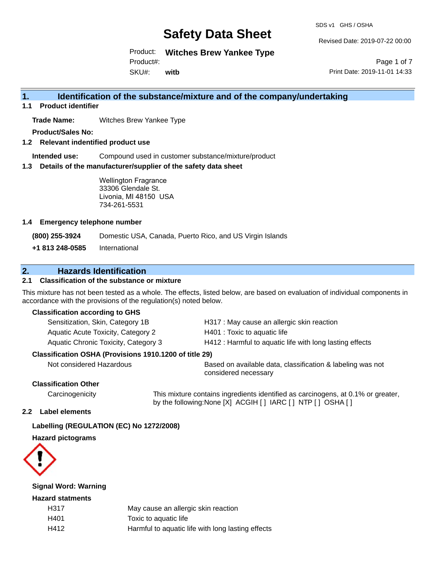SDS v1 GHS / OSHA

Revised Date: 2019-07-22 00:00

Product: **Witches Brew Yankee Type** Product#:

SKU#: **witb**

Page 1 of 7 Print Date: 2019-11-01 14:33

### **1. Identification of the substance/mixture and of the company/undertaking**

**1.1 Product identifier**

**Trade Name:** Witches Brew Yankee Type

**Product/Sales No:**

**1.2 Relevant indentified product use**

**Intended use:** Compound used in customer substance/mixture/product

**1.3 Details of the manufacturer/supplier of the safety data sheet**

Wellington Fragrance 33306 Glendale St. Livonia, MI 48150 USA 734-261-5531

#### **1.4 Emergency telephone number**

**(800) 255-3924** Domestic USA, Canada, Puerto Rico, and US Virgin Islands

**+1 813 248-0585** International

## **2. Hazards Identification**

#### **2.1 Classification of the substance or mixture**

This mixture has not been tested as a whole. The effects, listed below, are based on evaluation of individual components in accordance with the provisions of the regulation(s) noted below.

#### **Classification according to GHS**

| Sensitization, Skin, Category 1B     | H317 : May cause an allergic skin reaction               |
|--------------------------------------|----------------------------------------------------------|
| Aquatic Acute Toxicity, Category 2   | H401 : Toxic to aquatic life                             |
| Aquatic Chronic Toxicity, Category 3 | H412 : Harmful to aquatic life with long lasting effects |

#### **Classification OSHA (Provisions 1910.1200 of title 29)**

Not considered Hazardous Based on available data, classification & labeling was not considered necessary

#### **Classification Other**

Carcinogenicity This mixture contains ingredients identified as carcinogens, at 0.1% or greater, by the following:None [X] ACGIH [ ] IARC [ ] NTP [ ] OSHA [ ]

#### **2.2 Label elements**

## **Labelling (REGULATION (EC) No 1272/2008)**

**Hazard pictograms**



## **Signal Word: Warning**

### **Hazard statments**

| H317 | May cause an allergic skin reaction               |
|------|---------------------------------------------------|
| H401 | Toxic to aquatic life                             |
| H412 | Harmful to aquatic life with long lasting effects |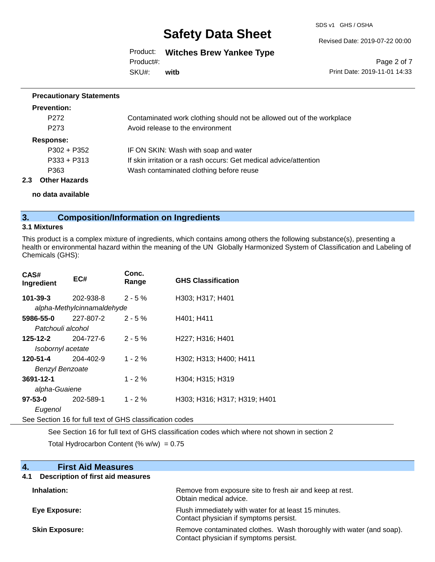SDS v1 GHS / OSHA

Revised Date: 2019-07-22 00:00

Product: **Witches Brew Yankee Type** SKU#: Product#: **witb**

Page 2 of 7 Print Date: 2019-11-01 14:33

#### **Precautionary Statements**

| <b>Prevention:</b>   |                                                                       |
|----------------------|-----------------------------------------------------------------------|
| P <sub>272</sub>     | Contaminated work clothing should not be allowed out of the workplace |
| P <sub>273</sub>     | Avoid release to the environment                                      |
| <b>Response:</b>     |                                                                       |
| $P302 + P352$        | IF ON SKIN: Wash with soap and water                                  |
| $P333 + P313$        | If skin irritation or a rash occurs: Get medical advice/attention     |
| P363                 | Wash contaminated clothing before reuse                               |
| <b>Other Hazards</b> |                                                                       |

**no data available**

## **3. Composition/Information on Ingredients**

#### **3.1 Mixtures**

**2.3 Other Hazards**

This product is a complex mixture of ingredients, which contains among others the following substance(s), presenting a health or environmental hazard within the meaning of the UN Globally Harmonized System of Classification and Labeling of Chemicals (GHS):

| CAS#<br>Ingredient     | EC#                        |            | <b>GHS Classification</b>    |
|------------------------|----------------------------|------------|------------------------------|
| 101-39-3               | 202-938-8                  | $2 - 5%$   | H303; H317; H401             |
|                        | alpha-Methylcinnamaldehyde |            |                              |
| 5986-55-0              | 227-807-2                  | $2 - 5%$   | H401: H411                   |
| Patchouli alcohol      |                            |            |                              |
| 125-12-2               | 204-727-6                  | $2 - 5%$   | H227; H316; H401             |
| Isobornyl acetate      |                            |            |                              |
| 120-51-4               | 204-402-9                  | $1 - 2%$   | H302; H313; H400; H411       |
| <b>Benzyl Benzoate</b> |                            |            |                              |
| 3691-12-1              |                            | $1 - 2 \%$ | H304; H315; H319             |
| alpha-Guaiene          |                            |            |                              |
| 97-53-0                | 202-589-1                  | $1 - 2 \%$ | H303; H316; H317; H319; H401 |
| Eugenol                |                            |            |                              |

See Section 16 for full text of GHS classification codes

See Section 16 for full text of GHS classification codes which where not shown in section 2

Total Hydrocarbon Content (%  $w/w$ ) = 0.75

| <b>First Aid Measures</b><br>4.                 |                                                                                                               |
|-------------------------------------------------|---------------------------------------------------------------------------------------------------------------|
| <b>Description of first aid measures</b><br>4.1 |                                                                                                               |
| Inhalation:                                     | Remove from exposure site to fresh air and keep at rest.<br>Obtain medical advice.                            |
| Eye Exposure:                                   | Flush immediately with water for at least 15 minutes.<br>Contact physician if symptoms persist.               |
| <b>Skin Exposure:</b>                           | Remove contaminated clothes. Wash thoroughly with water (and soap).<br>Contact physician if symptoms persist. |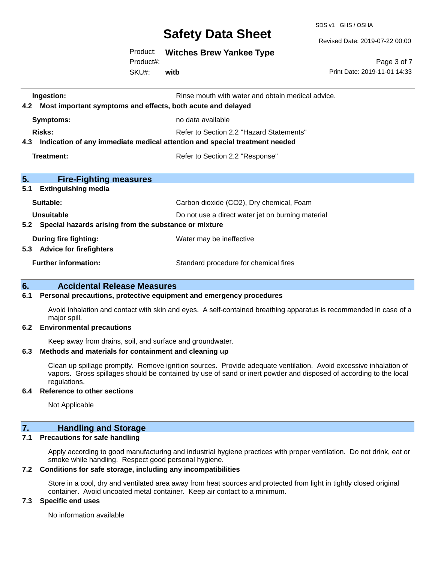SDS v1 GHS / OSHA

Revised Date: 2019-07-22 00:00

Product: **Witches Brew Yankee Type**

SKU#: Product#: **witb**

Page 3 of 7 Print Date: 2019-11-01 14:33

| Ingestion:<br>Most important symptoms and effects, both acute and delayed<br>4.2  | Rinse mouth with water and obtain medical advice. |  |  |
|-----------------------------------------------------------------------------------|---------------------------------------------------|--|--|
| Symptoms:                                                                         | no data available                                 |  |  |
| Risks:                                                                            | Refer to Section 2.2 "Hazard Statements"          |  |  |
| Indication of any immediate medical attention and special treatment needed<br>4.3 |                                                   |  |  |
| Treatment:<br>Refer to Section 2.2 "Response"                                     |                                                   |  |  |
|                                                                                   |                                                   |  |  |
| 5.<br><b>Fire-Fighting measures</b>                                               |                                                   |  |  |
| 5.1<br><b>Extinguishing media</b>                                                 |                                                   |  |  |
| Suitable:                                                                         | Carbon dioxide (CO2), Dry chemical, Foam          |  |  |
| Unsuitable<br>Do not use a direct water jet on burning material                   |                                                   |  |  |
| Special hazards arising from the substance or mixture<br>5.2                      |                                                   |  |  |
| During fire fighting:                                                             | Water may be ineffective                          |  |  |
| <b>Advice for firefighters</b><br>5.3                                             |                                                   |  |  |
| <b>Further information:</b>                                                       | Standard procedure for chemical fires             |  |  |

### **6. Accidental Release Measures**

#### **6.1 Personal precautions, protective equipment and emergency procedures**

Avoid inhalation and contact with skin and eyes. A self-contained breathing apparatus is recommended in case of a major spill.

#### **6.2 Environmental precautions**

Keep away from drains, soil, and surface and groundwater.

#### **6.3 Methods and materials for containment and cleaning up**

Clean up spillage promptly. Remove ignition sources. Provide adequate ventilation. Avoid excessive inhalation of vapors. Gross spillages should be contained by use of sand or inert powder and disposed of according to the local regulations.

#### **6.4 Reference to other sections**

Not Applicable

## **7. Handling and Storage**

#### **7.1 Precautions for safe handling**

Apply according to good manufacturing and industrial hygiene practices with proper ventilation. Do not drink, eat or smoke while handling. Respect good personal hygiene.

#### **7.2 Conditions for safe storage, including any incompatibilities**

Store in a cool, dry and ventilated area away from heat sources and protected from light in tightly closed original container. Avoid uncoated metal container. Keep air contact to a minimum.

#### **7.3 Specific end uses**

No information available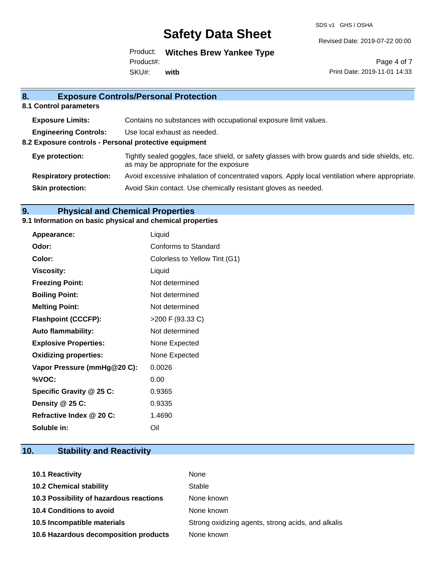SDS v1 GHS / OSHA

Revised Date: 2019-07-22 00:00

Product: **Witches Brew Yankee Type** SKU#: Product#: **witb**

Page 4 of 7 Print Date: 2019-11-01 14:33

| 8.                                                    | <b>Exposure Controls/Personal Protection</b>                                                                                             |
|-------------------------------------------------------|------------------------------------------------------------------------------------------------------------------------------------------|
| 8.1 Control parameters                                |                                                                                                                                          |
| <b>Exposure Limits:</b>                               | Contains no substances with occupational exposure limit values.                                                                          |
| <b>Engineering Controls:</b>                          | Use local exhaust as needed.                                                                                                             |
| 8.2 Exposure controls - Personal protective equipment |                                                                                                                                          |
| Eye protection:                                       | Tightly sealed goggles, face shield, or safety glasses with brow guards and side shields, etc.<br>as may be appropriate for the exposure |
| <b>Respiratory protection:</b>                        | Avoid excessive inhalation of concentrated vapors. Apply local ventilation where appropriate.                                            |
| <b>Skin protection:</b>                               | Avoid Skin contact. Use chemically resistant gloves as needed.                                                                           |
|                                                       |                                                                                                                                          |

# **9. Physical and Chemical Properties**

## **9.1 Information on basic physical and chemical properties**

| Appearance:                  | Liquid                        |
|------------------------------|-------------------------------|
| Odor:                        | <b>Conforms to Standard</b>   |
| Color:                       | Colorless to Yellow Tint (G1) |
| <b>Viscosity:</b>            | Liquid                        |
| <b>Freezing Point:</b>       | Not determined                |
| <b>Boiling Point:</b>        | Not determined                |
| <b>Melting Point:</b>        | Not determined                |
| <b>Flashpoint (CCCFP):</b>   | >200 F (93.33 C)              |
| <b>Auto flammability:</b>    | Not determined                |
| <b>Explosive Properties:</b> | None Expected                 |
| <b>Oxidizing properties:</b> | None Expected                 |
| Vapor Pressure (mmHg@20 C):  | 0.0026                        |
| %VOC:                        | 0.00                          |
| Specific Gravity @ 25 C:     | 0.9365                        |
| Density @ 25 C:              | 0.9335                        |
| Refractive Index @ 20 C:     | 1.4690                        |
| Soluble in:                  | Oil                           |

# **10. Stability and Reactivity**

| 10.1 Reactivity                         | None                                               |
|-----------------------------------------|----------------------------------------------------|
| <b>10.2 Chemical stability</b>          | Stable                                             |
| 10.3 Possibility of hazardous reactions | None known                                         |
| <b>10.4 Conditions to avoid</b>         | None known                                         |
| 10.5 Incompatible materials             | Strong oxidizing agents, strong acids, and alkalis |
| 10.6 Hazardous decomposition products   | None known                                         |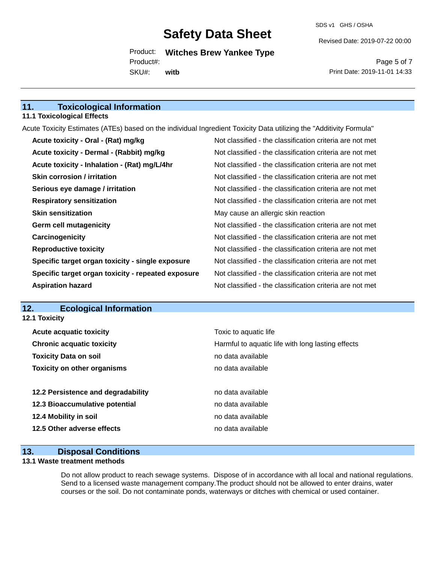Revised Date: 2019-07-22 00:00

Product: **Witches Brew Yankee Type** SKU#: Product#: **witb**

Page 5 of 7 Print Date: 2019-11-01 14:33

# **11. Toxicological Information**

#### **11.1 Toxicological Effects**

Acute Toxicity Estimates (ATEs) based on the individual Ingredient Toxicity Data utilizing the "Additivity Formula"

| Acute toxicity - Oral - (Rat) mg/kg                | Not classified - the classification criteria are not met |
|----------------------------------------------------|----------------------------------------------------------|
| Acute toxicity - Dermal - (Rabbit) mg/kg           | Not classified - the classification criteria are not met |
| Acute toxicity - Inhalation - (Rat) mg/L/4hr       | Not classified - the classification criteria are not met |
| <b>Skin corrosion / irritation</b>                 | Not classified - the classification criteria are not met |
| Serious eye damage / irritation                    | Not classified - the classification criteria are not met |
| <b>Respiratory sensitization</b>                   | Not classified - the classification criteria are not met |
| <b>Skin sensitization</b>                          | May cause an allergic skin reaction                      |
| <b>Germ cell mutagenicity</b>                      | Not classified - the classification criteria are not met |
| Carcinogenicity                                    | Not classified - the classification criteria are not met |
| <b>Reproductive toxicity</b>                       | Not classified - the classification criteria are not met |
| Specific target organ toxicity - single exposure   | Not classified - the classification criteria are not met |
| Specific target organ toxicity - repeated exposure | Not classified - the classification criteria are not met |
| <b>Aspiration hazard</b>                           | Not classified - the classification criteria are not met |

#### **12. Ecological Information 12.1 Toxicity**

| <b>Acute acquatic toxicity</b>     |                                    | Toxic to aquatic life                             |
|------------------------------------|------------------------------------|---------------------------------------------------|
| <b>Chronic acquatic toxicity</b>   |                                    | Harmful to aquatic life with long lasting effects |
| <b>Toxicity Data on soil</b>       |                                    | no data available                                 |
| <b>Toxicity on other organisms</b> |                                    | no data available                                 |
|                                    |                                    |                                                   |
|                                    | 12.2 Persistence and degradability | no data available                                 |
| 12.3 Bioaccumulative potential     |                                    | no data available                                 |
| 12.4 Mobility in soil              |                                    | no data available                                 |
| 12.5 Other adverse effects         |                                    | no data available                                 |
|                                    |                                    |                                                   |

## **13. Disposal Conditions**

#### **13.1 Waste treatment methods**

Do not allow product to reach sewage systems. Dispose of in accordance with all local and national regulations. Send to a licensed waste management company.The product should not be allowed to enter drains, water courses or the soil. Do not contaminate ponds, waterways or ditches with chemical or used container.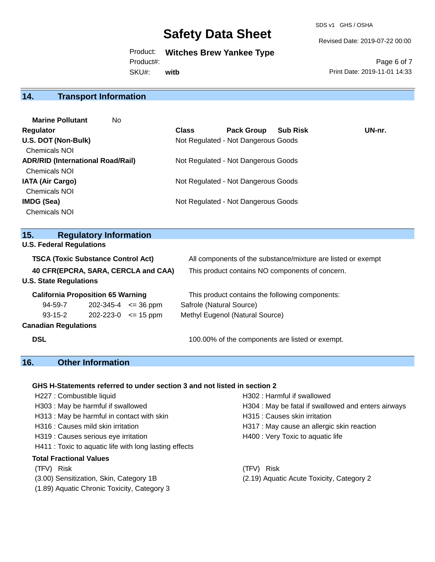SDS v1 GHS / OSHA

Revised Date: 2019-07-22 00:00

Product: **Witches Brew Yankee Type** SKU#: Product#: **witb**

Page 6 of 7 Print Date: 2019-11-01 14:33

# **14. Transport Information**

| <b>Marine Pollutant</b><br>No.           |              |                                     |                 |        |
|------------------------------------------|--------------|-------------------------------------|-----------------|--------|
| <b>Regulator</b>                         | <b>Class</b> | <b>Pack Group</b>                   | <b>Sub Risk</b> | UN-nr. |
| U.S. DOT (Non-Bulk)                      |              | Not Regulated - Not Dangerous Goods |                 |        |
| <b>Chemicals NOI</b>                     |              |                                     |                 |        |
| <b>ADR/RID (International Road/Rail)</b> |              | Not Regulated - Not Dangerous Goods |                 |        |
| <b>Chemicals NOI</b>                     |              |                                     |                 |        |
| <b>IATA (Air Cargo)</b>                  |              | Not Regulated - Not Dangerous Goods |                 |        |
| <b>Chemicals NOI</b>                     |              |                                     |                 |        |
| IMDG (Sea)                               |              | Not Regulated - Not Dangerous Goods |                 |        |
| <b>Chemicals NOI</b>                     |              |                                     |                 |        |

# **15. Regulatory Information**

**U.S. Federal Regulations**

| <b>TSCA (Toxic Substance Control Act)</b>                            |           |                     | All components of the substance/mixture are listed or exempt |
|----------------------------------------------------------------------|-----------|---------------------|--------------------------------------------------------------|
| 40 CFR(EPCRA, SARA, CERCLA and CAA)<br><b>U.S. State Regulations</b> |           |                     | This product contains NO components of concern.              |
| <b>California Proposition 65 Warning</b>                             |           |                     | This product contains the following components:              |
| 94-59-7                                                              | 202-345-4 | $\Leftarrow$ 36 ppm | Safrole (Natural Source)                                     |
| $93 - 15 - 2$                                                        | 202-223-0 | $\leq$ 15 ppm       | Methyl Eugenol (Natural Source)                              |
| <b>Canadian Regulations</b>                                          |           |                     |                                                              |
| <b>DSL</b>                                                           |           |                     | 100.00% of the components are listed or exempt.              |

# **16. Other Information**

#### **GHS H-Statements referred to under section 3 and not listed in section 2**

| H227 : Combustible liquid                              | H302: Harmful if swallowed                          |
|--------------------------------------------------------|-----------------------------------------------------|
| H303: May be harmful if swallowed                      | H304 : May be fatal if swallowed and enters airways |
| H313: May be harmful in contact with skin              | H315 : Causes skin irritation                       |
| H316 : Causes mild skin irritation                     | H317 : May cause an allergic skin reaction          |
| H319 : Causes serious eye irritation                   | H400 : Very Toxic to aquatic life                   |
| H411 : Toxic to aquatic life with long lasting effects |                                                     |
| <b>Total Fractional Values</b>                         |                                                     |
| (TFV) Risk                                             | <b>Risk</b><br>(TFV)                                |
| (3.00) Sensitization, Skin, Category 1B                | (2.19) Aquatic Acute Toxicity, Category 2           |
| (1.89) Aquatic Chronic Toxicity, Category 3            |                                                     |